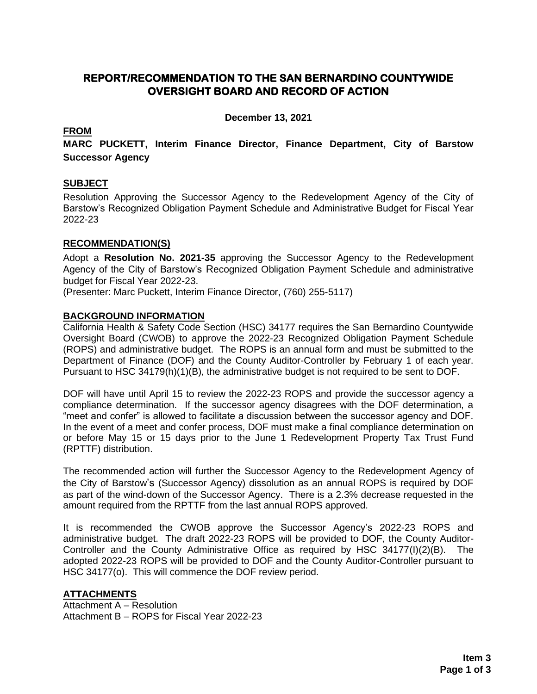# **REPORT/RECOMMENDATION TO THE SAN BERNARDINO COUNTYWIDE OVERSIGHT BOARD AND RECORD OF ACTION**

**December 13, 2021**

## **FROM**

**MARC PUCKETT, Interim Finance Director, Finance Department, City of Barstow Successor Agency**

## **SUBJECT**

Resolution Approving the Successor Agency to the Redevelopment Agency of the City of Barstow's Recognized Obligation Payment Schedule and Administrative Budget for Fiscal Year 2022-23

### **RECOMMENDATION(S)**

Adopt a **Resolution No. 2021-35** approving the Successor Agency to the Redevelopment Agency of the City of Barstow's Recognized Obligation Payment Schedule and administrative budget for Fiscal Year 2022-23.

(Presenter: Marc Puckett, Interim Finance Director, (760) 255-5117)

### **BACKGROUND INFORMATION**

California Health & Safety Code Section (HSC) 34177 requires the San Bernardino Countywide Oversight Board (CWOB) to approve the 2022-23 Recognized Obligation Payment Schedule (ROPS) and administrative budget. The ROPS is an annual form and must be submitted to the Department of Finance (DOF) and the County Auditor-Controller by February 1 of each year. Pursuant to HSC 34179(h)(1)(B), the administrative budget is not required to be sent to DOF.

DOF will have until April 15 to review the 2022-23 ROPS and provide the successor agency a compliance determination. If the successor agency disagrees with the DOF determination, a "meet and confer" is allowed to facilitate a discussion between the successor agency and DOF. In the event of a meet and confer process, DOF must make a final compliance determination on or before May 15 or 15 days prior to the June 1 Redevelopment Property Tax Trust Fund (RPTTF) distribution.

The recommended action will further the Successor Agency to the Redevelopment Agency of the City of Barstow's (Successor Agency) dissolution as an annual ROPS is required by DOF as part of the wind-down of the Successor Agency. There is a 2.3% decrease requested in the amount required from the RPTTF from the last annual ROPS approved.

It is recommended the CWOB approve the Successor Agency's 2022-23 ROPS and administrative budget. The draft 2022-23 ROPS will be provided to DOF, the County Auditor-Controller and the County Administrative Office as required by HSC 34177(I)(2)(B). The adopted 2022-23 ROPS will be provided to DOF and the County Auditor-Controller pursuant to HSC 34177(o). This will commence the DOF review period.

## **ATTACHMENTS**

Attachment A – Resolution Attachment B – ROPS for Fiscal Year 2022-23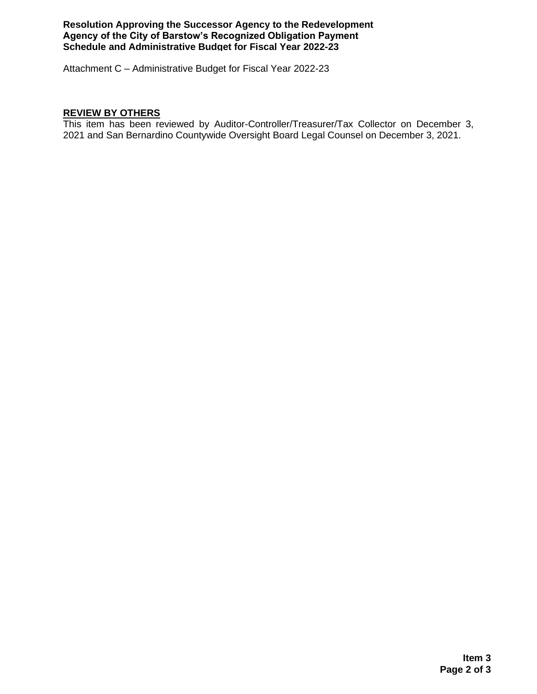### **Resolution Approving the Successor Agency to the Redevelopment Agency of the City of Barstow's Recognized Obligation Payment Schedule and Administrative Budget for Fiscal Year 2022-23**

Attachment C – Administrative Budget for Fiscal Year 2022-23

## **REVIEW BY OTHERS**

This item has been reviewed by Auditor-Controller/Treasurer/Tax Collector on December 3, 2021 and San Bernardino Countywide Oversight Board Legal Counsel on December 3, 2021.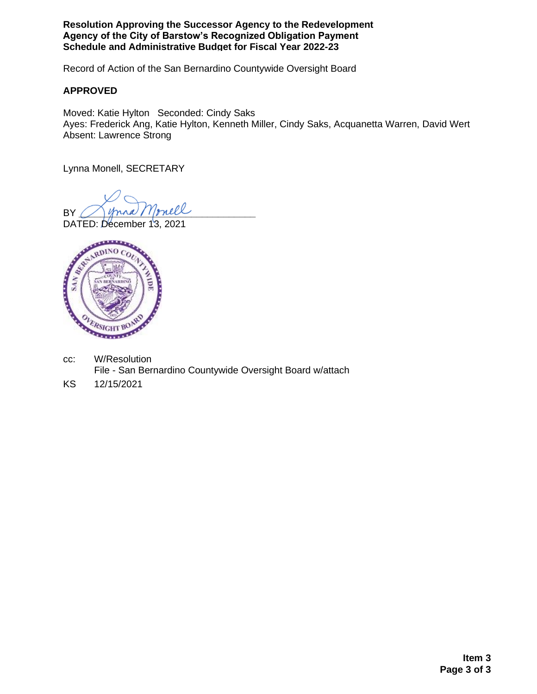**Resolution Approving the Successor Agency to the Redevelopment Agency of the City of Barstow's Recognized Obligation Payment Schedule and Administrative Budget for Fiscal Year 2022-23**

Record of Action of the San Bernardino Countywide Oversight Board

## **APPROVED**

Moved: Katie Hylton Seconded: Cindy Saks Ayes: Frederick Ang, Katie Hylton, Kenneth Miller, Cindy Saks, Acquanetta Warren, David Wert Absent: Lawrence Strong

Lynna Monell, SECRETARY

BY *Inna Monell* 

DATED: December 13, 2021



- cc: W/Resolution File - San Bernardino Countywide Oversight Board w/attach
- KS 12/15/2021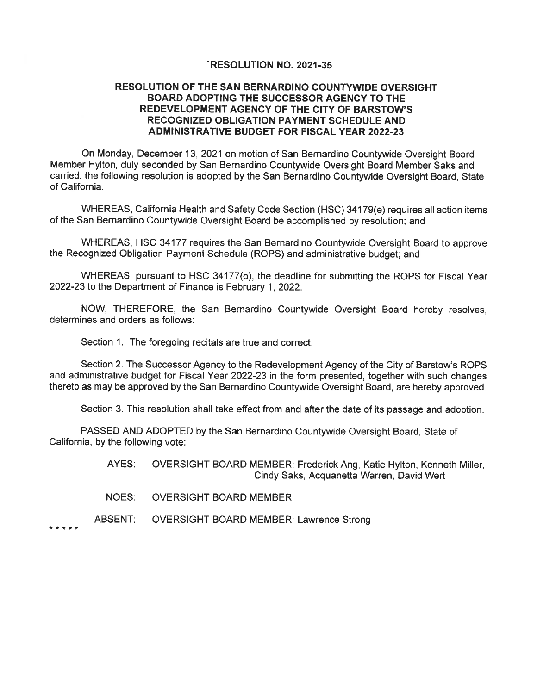#### **RESOLUTION NO. 2021-35**

### **RESOLUTION OF THE SAN BERNARDINO COUNTYWIDE OVERSIGHT BOARD ADOPTING THE SUCCESSOR AGENCY TO THE** REDEVELOPMENT AGENCY OF THE CITY OF BARSTOW'S **RECOGNIZED OBLIGATION PAYMENT SCHEDULE AND ADMINISTRATIVE BUDGET FOR FISCAL YEAR 2022-23**

On Monday, December 13, 2021 on motion of San Bernardino Countywide Oversight Board Member Hylton, duly seconded by San Bernardino Countywide Oversight Board Member Saks and carried, the following resolution is adopted by the San Bernardino Countywide Oversight Board, State of California.

WHEREAS, California Health and Safety Code Section (HSC) 34179(e) requires all action items of the San Bernardino Countywide Oversight Board be accomplished by resolution: and

WHEREAS, HSC 34177 requires the San Bernardino Countywide Oversight Board to approve the Recognized Obligation Payment Schedule (ROPS) and administrative budget; and

WHEREAS, pursuant to HSC 34177(o), the deadline for submitting the ROPS for Fiscal Year 2022-23 to the Department of Finance is February 1, 2022.

NOW, THEREFORE, the San Bernardino Countywide Oversight Board hereby resolves, determines and orders as follows:

Section 1. The foregoing recitals are true and correct.

Section 2. The Successor Agency to the Redevelopment Agency of the City of Barstow's ROPS and administrative budget for Fiscal Year 2022-23 in the form presented, together with such changes thereto as may be approved by the San Bernardino Countywide Oversight Board, are hereby approved.

Section 3. This resolution shall take effect from and after the date of its passage and adoption.

PASSED AND ADOPTED by the San Bernardino Countywide Oversight Board, State of California, by the following vote:

> AYES: OVERSIGHT BOARD MEMBER: Frederick Ang, Katie Hylton, Kenneth Miller, Cindy Saks, Acquanetta Warren, David Wert

- NOES: **OVERSIGHT BOARD MEMBER:**
- ABSENT: **OVERSIGHT BOARD MEMBER: Lawrence Strong**

\* \* \* \* \*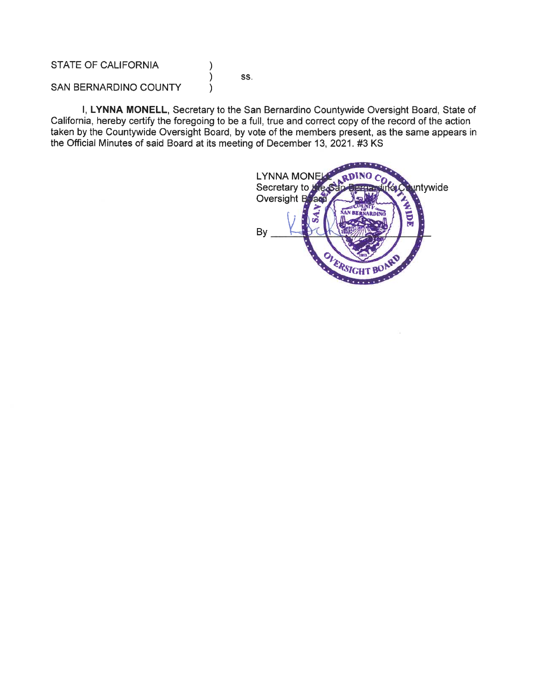**STATE OF CALIFORNIA** 

SS.

∖  $\lambda$ 

 $\mathcal{E}$ 

SAN BERNARDINO COUNTY

I, LYNNA MONELL, Secretary to the San Bernardino Countywide Oversight Board, State of California, hereby certify the foregoing to be a full, true and correct copy of the record of the action taken by the Countywide Oversight Board, by vote of the members present, as the same appears in the Official Minutes of said Board at its meeting of December 13, 2021. #3 KS

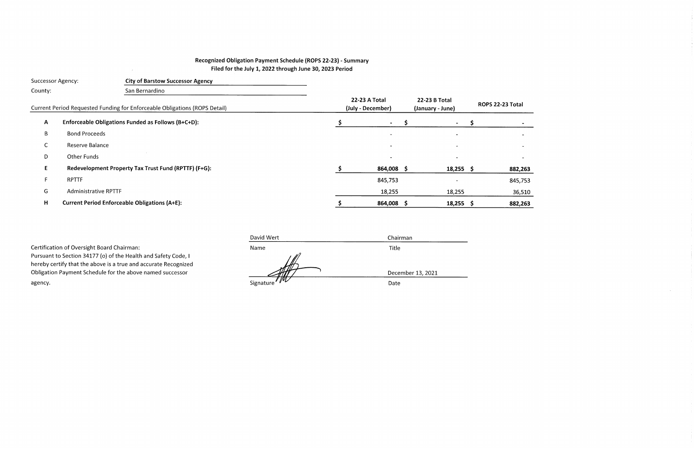# Recognized Obligation Payment Schedule (ROPS 22-23) - Summary Filed for the July 1, 2022 through June 30, 2023 Period

 $\mathcal{L}^{\text{max}}_{\text{max}}$ 

| <b>Successor Agency:</b> |                             | <b>City of Barstow Successor Agency</b>                                    |                                    |                                   |    |                  |
|--------------------------|-----------------------------|----------------------------------------------------------------------------|------------------------------------|-----------------------------------|----|------------------|
| County:                  |                             | San Bernardino                                                             |                                    |                                   |    |                  |
|                          |                             | Current Period Requested Funding for Enforceable Obligations (ROPS Detail) | 22-23 A Total<br>(July - December) | 22-23 B Total<br>(January - June) |    | ROPS 22-23 Total |
| $\mathsf{A}$             |                             | Enforceable Obligations Funded as Follows (B+C+D):                         | $\blacksquare$                     | $\blacksquare$                    | S. |                  |
| $\mathsf{B}$             | <b>Bond Proceeds</b>        |                                                                            | $\overline{\phantom{a}}$           | $\sim$                            |    |                  |
| С                        | Reserve Balance             |                                                                            |                                    |                                   |    |                  |
| D                        | Other Funds                 |                                                                            |                                    |                                   |    |                  |
| E.                       |                             | Redevelopment Property Tax Trust Fund (RPTTF) (F+G):                       | 864,008 \$                         | $18,255$ \$                       |    | 882,263          |
| F                        | <b>RPTTF</b>                |                                                                            | 845,753                            |                                   |    | 845,753          |
| G                        | <b>Administrative RPTTF</b> |                                                                            | 18,255                             | 18,255                            |    | 36,510           |
| H                        |                             | <b>Current Period Enforceable Obligations (A+E):</b>                       | 864,008 \$                         | $18,255$ \$                       |    | 882,263          |

| David Wert | Chairman          |
|------------|-------------------|
| Name       | Title             |
|            |                   |
|            |                   |
|            | December 13, 2021 |
|            | Date              |
|            | Signature WL      |

 $\sim$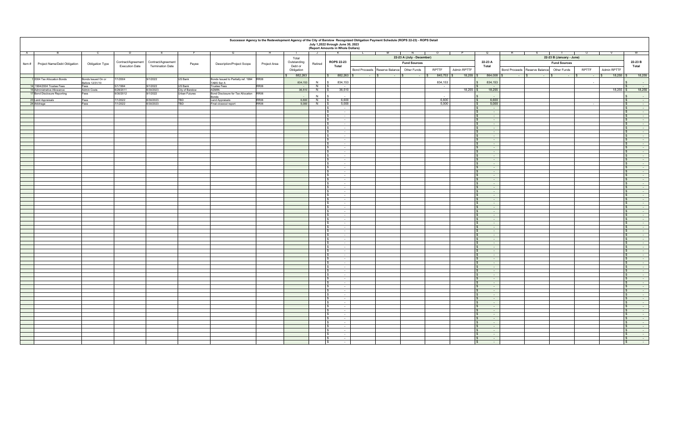|       |                              |                         |                                             |                                               |                 |                                                  | Successor Agency to the Redevelopment Agency of the City of Barstow Recognized Obligation Payment Schedule (ROPS 22-23) - ROPS Detail |                        |         | July 1,2022 through June 30, 2023<br>(Report Amounts in Whole Dollars) |                                           |                           |                      |                                      |                                           |                          |                         |                     |                                        |
|-------|------------------------------|-------------------------|---------------------------------------------|-----------------------------------------------|-----------------|--------------------------------------------------|---------------------------------------------------------------------------------------------------------------------------------------|------------------------|---------|------------------------------------------------------------------------|-------------------------------------------|---------------------------|----------------------|--------------------------------------|-------------------------------------------|--------------------------|-------------------------|---------------------|----------------------------------------|
| A     |                              |                         | D                                           |                                               |                 | G                                                | тн                                                                                                                                    |                        | J 3     | $\kappa$                                                               | $\overline{\phantom{a}}$<br>$\mathbf{1}$  | $M$ $N$                   | $\circ$<br>- P       | Q                                    | s.                                        | T                        | $\overline{\mathsf{u}}$ | $\mathbf{v}$        | W                                      |
|       |                              |                         |                                             |                                               |                 |                                                  |                                                                                                                                       | Total                  |         |                                                                        |                                           | 22-23 A (July - December) |                      |                                      |                                           | 22-23 B (January - June) |                         |                     |                                        |
| Item# | Project Name/Debt Obligation | Obligation Type         | Contract/Agreement<br><b>Execution Date</b> | Contract/Agreement<br><b>Termination Date</b> | Payee           | <b>Description/Project Scope</b>                 | Project Area                                                                                                                          | Outstanding<br>Debt or | Retired | <b>ROPS 22-23</b><br>Total                                             |                                           | <b>Fund Sources</b>       |                      | 22-23 A<br>Total                     |                                           | <b>Fund Sources</b>      |                         |                     | 22-23 B<br>Total                       |
|       |                              |                         |                                             |                                               |                 |                                                  |                                                                                                                                       | Obligation             |         |                                                                        | Bond Proceeds Reserve Balance Other Funds |                           | RPTTF<br>Admin RPTTF |                                      | Bond Proceeds Reserve Balance Other Funds |                          | RPTTF                   | Admin RPTTF         |                                        |
|       |                              |                         |                                             |                                               |                 |                                                  |                                                                                                                                       | 882,263                |         | $\frac{1}{5}$ 882,263 \$                                               | $  s $                                    | $-$ 15                    | $845,753$ \$         | 18,255 \$ 864,008 \$                 |                                           |                          |                         | $18,255$ \$<br>$-5$ | 18,255                                 |
|       | 1 2004 Tax Allocation Bonds  | Bonds Issued On or      | 1/2004                                      | 9/1/2022                                      | US Bank         | Bonds Issued to Partially ref. 1994 RR06         |                                                                                                                                       | 834,153                | N       | 834,153                                                                |                                           |                           | 834,153              | 834,153                              |                                           |                          |                         |                     |                                        |
|       | 14 1994/2004 Trustee Fees    | Before 12/31/10<br>Fees | 5/1/1994                                    | 9/1/2022                                      | US Bank         | TABS Ser A<br><b>Trustee Fees</b>                | <b>RR06</b>                                                                                                                           |                        | N       | $\sim$                                                                 |                                           |                           | $\sim$               |                                      |                                           |                          |                         |                     |                                        |
|       | 15 Administrative Allowance  | <b>Admin Costs</b>      | 6/28/2011                                   | 6/30/2023                                     | City of Barstow | ADMIN                                            |                                                                                                                                       | 36,510                 | N       | 36,510                                                                 |                                           |                           | 18,255               | 18,255                               |                                           |                          |                         | $18,255$ \$         | 18,255                                 |
|       | 17 Bond Disclosure Reporting | Fees                    | 9/30/2012                                   | 9/1/2022                                      | Urban Futures   | Bond Disclosure for Tax Allocation RR06<br>Bonds |                                                                                                                                       |                        |         |                                                                        |                                           |                           |                      |                                      |                                           |                          |                         |                     |                                        |
|       | 23 Land Appraisals           | Fees                    | 7/1/2022                                    | 6/30/2023                                     | TBD             | <b>Land Appraisals</b>                           | <b>RR06</b>                                                                                                                           | 6,600                  | N       | 6,600                                                                  |                                           |                           | 6,600                | 6,600                                |                                           |                          |                         |                     | $\sim$                                 |
|       | 24 Arbitrage                 | Fees                    | /1/2022                                     | 6/30/2023                                     | TBD             | Final closeout report                            | <b>RR06</b>                                                                                                                           | 5,000                  | N       | 5,000<br>$\sim$                                                        |                                           |                           | 5,000                | 5,000<br>$\sim$ 100 $\mu$            |                                           |                          |                         |                     | $\sim$                                 |
|       |                              |                         |                                             |                                               |                 |                                                  |                                                                                                                                       |                        |         | $\sim$                                                                 |                                           |                           |                      | $\sim 10^{-1}$                       |                                           |                          |                         |                     | $\mathbf{s}$                           |
|       |                              |                         |                                             |                                               |                 |                                                  |                                                                                                                                       |                        |         | $\sim$ $-$                                                             |                                           |                           |                      | $\sim 10^{-1}$                       |                                           |                          |                         |                     | $\sqrt{S}$                             |
|       |                              |                         |                                             |                                               |                 |                                                  |                                                                                                                                       |                        |         | $\sim$ $-$                                                             |                                           |                           |                      | $\sim 10^{-1}$                       |                                           |                          |                         |                     | $\sqrt{s}$                             |
|       |                              |                         |                                             |                                               |                 |                                                  |                                                                                                                                       |                        |         | <b>Contract</b><br>$\sim$                                              |                                           |                           |                      | $\sim$ 100 $\pm$<br>$\sim$           |                                           |                          |                         |                     | ∣S.<br>IS                              |
|       |                              |                         |                                             |                                               |                 |                                                  |                                                                                                                                       |                        |         | $\sim$                                                                 |                                           |                           |                      | $\sim$                               |                                           |                          |                         |                     | $\sqrt{S}$                             |
|       |                              |                         |                                             |                                               |                 |                                                  |                                                                                                                                       |                        |         |                                                                        |                                           |                           |                      |                                      |                                           |                          |                         |                     |                                        |
|       |                              |                         |                                             |                                               |                 |                                                  |                                                                                                                                       |                        |         | $\sim$<br>$\sqrt{S}$<br>$\sim 10^{-1}$                                 |                                           |                           |                      | $\sim$<br>$\sim 100$                 |                                           |                          |                         |                     | $\sqrt{S}$<br>$\sim$                   |
|       |                              |                         |                                             |                                               |                 |                                                  |                                                                                                                                       |                        |         | $\sqrt{S}$<br>$\sim$                                                   |                                           |                           |                      | $\sim$                               |                                           |                          |                         |                     | $\sqrt{s}$<br>$\sim$                   |
|       |                              |                         |                                             |                                               |                 |                                                  |                                                                                                                                       |                        |         | $\sqrt{s}$<br>$\sim$                                                   |                                           |                           |                      | $\sim$ $\sim$                        |                                           |                          |                         |                     | $\sqrt{S}$                             |
|       |                              |                         |                                             |                                               |                 |                                                  |                                                                                                                                       |                        |         | $\sim$                                                                 |                                           |                           |                      | $\sim$                               |                                           |                          |                         |                     | IS.                                    |
|       |                              |                         |                                             |                                               |                 |                                                  |                                                                                                                                       |                        |         | $\sim$<br>$\overline{\phantom{a}}$<br>$\sim 10^{-11}$                  |                                           |                           |                      | $\sim$<br>$\sim 100$                 |                                           |                          |                         |                     | $\sqrt{s}$                             |
|       |                              |                         |                                             |                                               |                 |                                                  |                                                                                                                                       |                        |         | $\overline{\phantom{a}}$<br>$\sim$ $-$                                 |                                           |                           |                      | $\sim 100$                           |                                           |                          |                         |                     | $\sim$<br>$\sqrt{S}$                   |
|       |                              |                         |                                             |                                               |                 |                                                  |                                                                                                                                       |                        |         | $\sim$                                                                 |                                           |                           |                      | $\sim$                               |                                           |                          |                         |                     | $\sim$                                 |
|       |                              |                         |                                             |                                               |                 |                                                  |                                                                                                                                       |                        |         | $\sim$                                                                 |                                           |                           |                      | $\sim$                               |                                           |                          |                         |                     | I S<br>l \$                            |
|       |                              |                         |                                             |                                               |                 |                                                  |                                                                                                                                       |                        |         | $\sim$                                                                 |                                           |                           |                      | $\sim$<br>$\sim$                     |                                           |                          |                         |                     | $\sqrt{S}$                             |
|       |                              |                         |                                             |                                               |                 |                                                  |                                                                                                                                       |                        |         | $\sim$                                                                 |                                           |                           |                      | <b>Contract</b>                      |                                           |                          |                         |                     | $\sim$<br>$\sim$                       |
|       |                              |                         |                                             |                                               |                 |                                                  |                                                                                                                                       |                        |         | - 17                                                                   |                                           |                           |                      | $\sim$ 100 $\mu$                     |                                           |                          |                         |                     |                                        |
|       |                              |                         |                                             |                                               |                 |                                                  |                                                                                                                                       |                        |         | IS<br>$\sim$ $-$<br>l s                                                |                                           |                           |                      | $\sim$ 100 $\pm$<br>$\sim$           |                                           |                          |                         |                     | $\sqrt{s}$<br>$\sim$ $-$<br>$\sqrt{S}$ |
|       |                              |                         |                                             |                                               |                 |                                                  |                                                                                                                                       |                        |         | $\sim$<br>$\sim$                                                       |                                           |                           |                      | $\sim$                               |                                           |                          |                         |                     | l s                                    |
|       |                              |                         |                                             |                                               |                 |                                                  |                                                                                                                                       |                        |         | l S<br>$\sim$                                                          |                                           |                           |                      | $\sim$ $-$                           |                                           |                          |                         |                     | $\sqrt{S}$                             |
|       |                              |                         |                                             |                                               |                 |                                                  |                                                                                                                                       |                        |         | $\sim$ $-$                                                             |                                           |                           |                      | $\sim 100$                           |                                           |                          |                         |                     | $\sqrt{S}$                             |
|       |                              |                         |                                             |                                               |                 |                                                  |                                                                                                                                       |                        |         | IS<br>$\sim$ $-$<br>$\sim$                                             |                                           |                           |                      | $\sim$ 100 $\pm$<br>$\sim$ 100 $\mu$ |                                           |                          |                         |                     | IS.<br>$\mathsf{S}$                    |
|       |                              |                         |                                             |                                               |                 |                                                  |                                                                                                                                       |                        |         | $\sim$                                                                 |                                           |                           |                      | $\sim$                               |                                           |                          |                         |                     |                                        |
|       |                              |                         |                                             |                                               |                 |                                                  |                                                                                                                                       |                        |         |                                                                        |                                           |                           |                      |                                      |                                           |                          |                         |                     |                                        |
|       |                              |                         |                                             |                                               |                 |                                                  |                                                                                                                                       |                        |         | $\overline{\phantom{a}}$<br>$\sim$                                     |                                           |                           |                      | $\sim$ $-$<br><b>Contract</b>        |                                           |                          |                         |                     | $\sqrt{S}$                             |
|       |                              |                         |                                             |                                               |                 |                                                  |                                                                                                                                       |                        |         | $\overline{\phantom{a}}$<br>$\sim$<br>l s<br>$\sim$                    |                                           |                           |                      | $\sim$                               |                                           |                          |                         |                     | $\sqrt{s}$<br>$\sim$<br>$\sqrt{s}$     |
|       |                              |                         |                                             |                                               |                 |                                                  |                                                                                                                                       |                        |         | $\sim$                                                                 |                                           |                           |                      | $\sim$                               |                                           |                          |                         |                     | $\sim$                                 |
|       |                              |                         |                                             |                                               |                 |                                                  |                                                                                                                                       |                        |         | $\overline{\phantom{a}}$<br>$\sim$                                     |                                           |                           |                      | $\sim$                               |                                           |                          |                         |                     | $\sqrt{S}$                             |
|       |                              |                         |                                             |                                               |                 |                                                  |                                                                                                                                       |                        |         | $\sqrt{S}$<br>$\sim$<br>$\sim$                                         |                                           |                           |                      | $\sim 10^{-1}$<br>$\sim$ $-$         |                                           |                          |                         |                     | $\sqrt{S}$<br>$\sqrt{s}$               |
|       |                              |                         |                                             |                                               |                 |                                                  |                                                                                                                                       |                        |         | $\sim$                                                                 |                                           |                           |                      | $\sim$ $\sim$                        |                                           |                          |                         |                     | $\sim$                                 |
|       |                              |                         |                                             |                                               |                 |                                                  |                                                                                                                                       |                        |         | $\sim$ 100 $\mu$                                                       |                                           |                           |                      | $\sim$ 100 $\pm$                     |                                           |                          |                         |                     | $\sqrt{S}$<br>$\sim$                   |
|       |                              |                         |                                             |                                               |                 |                                                  |                                                                                                                                       |                        |         | $\sim$                                                                 |                                           |                           |                      | $\sim$ 100 $\mu$                     |                                           |                          |                         |                     | $\sqrt{S}$                             |
|       |                              |                         |                                             |                                               |                 |                                                  |                                                                                                                                       |                        |         | $\sim$<br>$\sim$                                                       |                                           |                           |                      | $\sim$<br>$\sim$                     |                                           |                          |                         |                     | $\sqrt{s}$<br>$\sqrt{S}$               |
|       |                              |                         |                                             |                                               |                 |                                                  |                                                                                                                                       |                        |         | $\sim$                                                                 |                                           |                           |                      | $\sim$                               |                                           |                          |                         |                     | $\sqrt{S}$                             |
|       |                              |                         |                                             |                                               |                 |                                                  |                                                                                                                                       |                        |         | <b>Contract</b><br>IS                                                  |                                           |                           |                      | $\sim$ 100 $\mu$                     |                                           |                          |                         |                     | $\sqrt{s}$<br>$\sim$<br>$\sim$         |
|       |                              |                         |                                             |                                               |                 |                                                  |                                                                                                                                       |                        |         | $\overline{\phantom{a}}$<br>$\sim$ 100 $\mu$<br>$\sim$                 |                                           |                           |                      | $\sim$ $\sim$<br>$\sim$              |                                           |                          |                         |                     | $\sqrt{s}$                             |
|       |                              |                         |                                             |                                               |                 |                                                  |                                                                                                                                       |                        |         | $\sim$                                                                 |                                           |                           |                      | $\sim$                               |                                           |                          |                         |                     | $\mathbf{s}$                           |
|       |                              |                         |                                             |                                               |                 |                                                  |                                                                                                                                       |                        |         | l s<br>$\sim$                                                          |                                           |                           |                      | $\sim$                               |                                           |                          |                         |                     | $\sqrt{S}$                             |
|       |                              |                         |                                             |                                               |                 |                                                  |                                                                                                                                       |                        |         | IS.<br>$\sim 10^{-11}$                                                 |                                           |                           |                      | $\sim 10^{-1}$                       |                                           |                          |                         |                     | $\sqrt{s}$<br>$\sim$                   |
|       |                              |                         |                                             |                                               |                 |                                                  |                                                                                                                                       |                        |         | IS<br>$\sim$<br>$\sim$                                                 |                                           |                           |                      | $\sim$ 100 $\mu$<br>$\sim$ 100 $\mu$ |                                           |                          |                         |                     | $\sqrt{s}$<br>IS                       |
|       |                              |                         |                                             |                                               |                 |                                                  |                                                                                                                                       |                        |         | $\sim$                                                                 |                                           |                           |                      | $\sim$                               |                                           |                          |                         |                     | ∣S.                                    |
|       |                              |                         |                                             |                                               |                 |                                                  |                                                                                                                                       |                        |         | $\sim$                                                                 |                                           |                           |                      | $\sim$                               |                                           |                          |                         |                     | $\sqrt{S}$                             |
|       |                              |                         |                                             |                                               |                 |                                                  |                                                                                                                                       |                        |         | <b>Service</b>                                                         |                                           |                           |                      | <b>College</b>                       |                                           |                          |                         |                     | $\sim$<br>$\sim$<br>$\sim$             |
|       |                              |                         |                                             |                                               |                 |                                                  |                                                                                                                                       |                        |         | $\sim$<br>$\sim$                                                       |                                           |                           |                      | <b>Service</b>                       |                                           |                          |                         |                     | $\sqrt{s}$                             |
|       |                              |                         |                                             |                                               |                 |                                                  |                                                                                                                                       |                        |         | $\sqrt{S}$<br>$\sim$                                                   |                                           |                           |                      | $\sim$                               |                                           |                          |                         |                     | $\sqrt{s}$                             |
|       |                              |                         |                                             |                                               |                 |                                                  |                                                                                                                                       |                        |         | l s<br>$\sim$                                                          |                                           |                           |                      | $\sim$                               |                                           |                          |                         |                     | $\sqrt{s}$                             |
|       |                              |                         |                                             |                                               |                 |                                                  |                                                                                                                                       |                        |         | $\sqrt{S}$<br>$\sim$                                                   |                                           |                           |                      | $\sqrt{s}$<br><b>Section</b>         |                                           |                          |                         |                     | $\sqrt{S}$                             |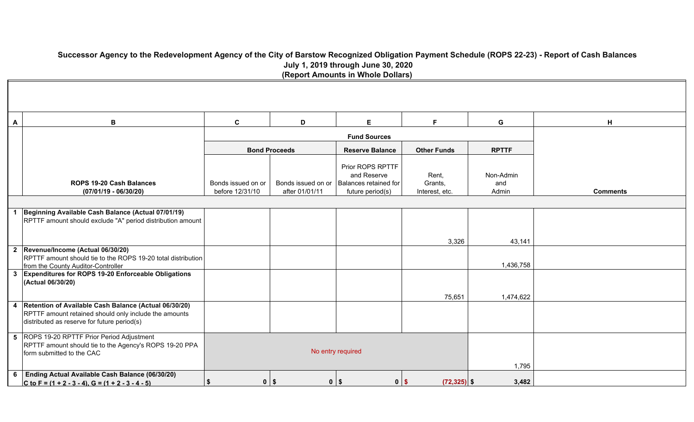**Successor Agency to the Redevelopment Agency of the City of Barstow Recognized Obligation Payment Schedule (ROPS 22-23) - Report of Cash Balances July 1, 2019 through June 30, 2020 (Report Amounts in Whole Dollars)**

| Α | В                                                                                                                                                               | $\mathbf c$                           | D                                    | E.                                                                           | F.                                 | G                         | H               |
|---|-----------------------------------------------------------------------------------------------------------------------------------------------------------------|---------------------------------------|--------------------------------------|------------------------------------------------------------------------------|------------------------------------|---------------------------|-----------------|
|   |                                                                                                                                                                 |                                       |                                      | <b>Fund Sources</b>                                                          |                                    |                           |                 |
|   |                                                                                                                                                                 |                                       | <b>Bond Proceeds</b>                 | <b>Reserve Balance</b>                                                       | <b>Other Funds</b>                 | <b>RPTTF</b>              |                 |
|   | <b>ROPS 19-20 Cash Balances</b><br>$(07/01/19 - 06/30/20)$                                                                                                      | Bonds issued on or<br>before 12/31/10 | Bonds issued on or<br>after 01/01/11 | Prior ROPS RPTTF<br>and Reserve<br>Balances retained for<br>future period(s) | Rent,<br>Grants,<br>Interest, etc. | Non-Admin<br>and<br>Admin | <b>Comments</b> |
|   |                                                                                                                                                                 |                                       |                                      |                                                                              |                                    |                           |                 |
|   | Beginning Available Cash Balance (Actual 07/01/19)<br>RPTTF amount should exclude "A" period distribution amount                                                |                                       |                                      |                                                                              |                                    |                           |                 |
|   | 2 Revenue/Income (Actual 06/30/20)                                                                                                                              |                                       |                                      |                                                                              | 3,326                              | 43,141                    |                 |
|   | RPTTF amount should tie to the ROPS 19-20 total distribution<br>from the County Auditor-Controller                                                              |                                       |                                      |                                                                              |                                    | 1,436,758                 |                 |
|   | 3 Expenditures for ROPS 19-20 Enforceable Obligations<br>(Actual 06/30/20)                                                                                      |                                       |                                      |                                                                              |                                    |                           |                 |
|   |                                                                                                                                                                 |                                       |                                      |                                                                              | 75,651                             | 1,474,622                 |                 |
|   | 4 Retention of Available Cash Balance (Actual 06/30/20)<br>RPTTF amount retained should only include the amounts<br>distributed as reserve for future period(s) |                                       |                                      |                                                                              |                                    |                           |                 |
|   | 5 ROPS 19-20 RPTTF Prior Period Adjustment<br>RPTTF amount should tie to the Agency's ROPS 19-20 PPA<br>form submitted to the CAC                               |                                       |                                      | No entry required                                                            | 1,795                              |                           |                 |
| 6 | Ending Actual Available Cash Balance (06/30/20)<br>C to F = $(1 + 2 - 3 - 4)$ , G = $(1 + 2 - 3 - 4 - 5)$                                                       | -\$                                   | $0$   \$                             | $0$ $\sqrt{5}$<br>$0$   \$                                                   | $(72, 325)$ \$                     | 3,482                     |                 |